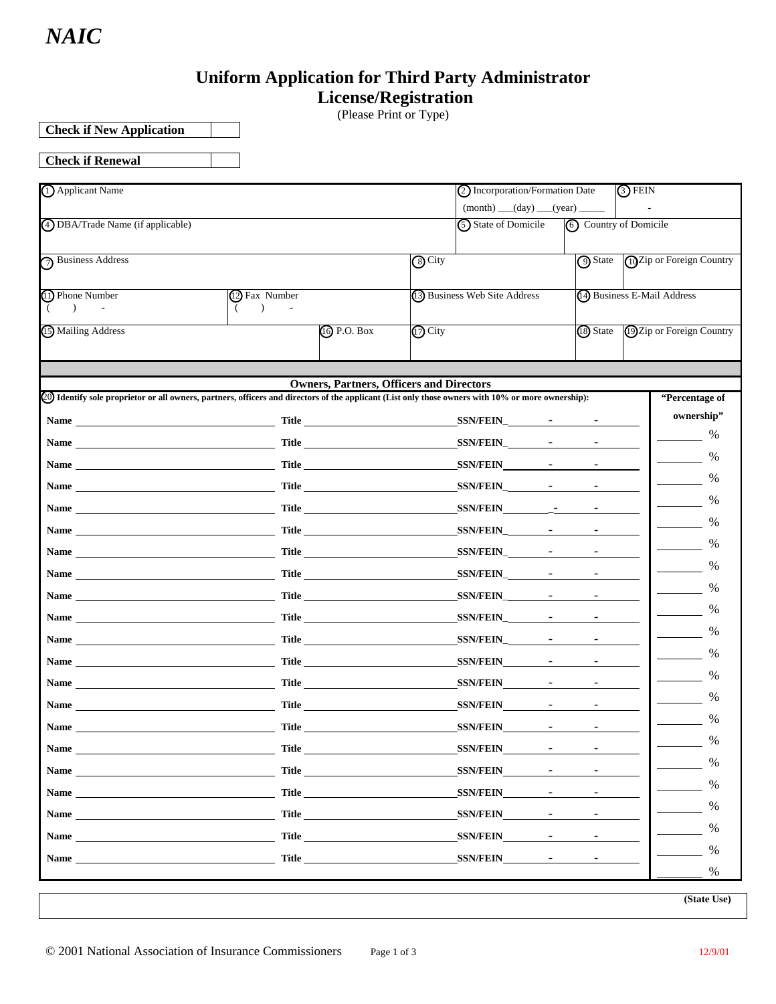# **Uniform Application for Third Party Administrator**

 **License/Registration** 

(Please Print or Type)

**Check if New Application** 

**Check if Renewal** 

| (1) Applicant Name                                                                                                                                                                                                             |                      |                                                 |                                   | 2) Incorporation/Formation Date |                                                                             |                             | $(3)$ FEIN                 |                           |  |  |
|--------------------------------------------------------------------------------------------------------------------------------------------------------------------------------------------------------------------------------|----------------------|-------------------------------------------------|-----------------------------------|---------------------------------|-----------------------------------------------------------------------------|-----------------------------|----------------------------|---------------------------|--|--|
|                                                                                                                                                                                                                                |                      |                                                 |                                   |                                 |                                                                             |                             |                            |                           |  |  |
| 4 DBA/Trade Name (if applicable)                                                                                                                                                                                               |                      |                                                 |                                   | (5) State of Domicile           |                                                                             | (6) Country of Domicile     |                            |                           |  |  |
| 7 Business Address                                                                                                                                                                                                             |                      |                                                 | <b>9</b> State<br>$\sqrt{8}$ City |                                 |                                                                             |                             | (10 Zip or Foreign Country |                           |  |  |
| (1) Phone Number<br>$\lambda$                                                                                                                                                                                                  | (12) Fax Number<br>( |                                                 |                                   | (3) Business Web Site Address   |                                                                             | (4) Business E-Mail Address |                            |                           |  |  |
| (15) Mailing Address                                                                                                                                                                                                           |                      | <b>(i)</b> P.O. Box                             | $(17)$ City                       |                                 |                                                                             | (18) State                  |                            | 19 Zip or Foreign Country |  |  |
|                                                                                                                                                                                                                                |                      | <b>Owners, Partners, Officers and Directors</b> |                                   |                                 |                                                                             |                             |                            |                           |  |  |
| (20) Identify sole proprietor or all owners, partners, officers and directors of the applicant (List only those owners with 10% or more ownership):                                                                            |                      |                                                 |                                   |                                 |                                                                             |                             |                            | "Percentage of            |  |  |
| Name Title Title                                                                                                                                                                                                               |                      |                                                 |                                   |                                 |                                                                             |                             |                            | ownership"                |  |  |
| Name Title                                                                                                                                                                                                                     |                      |                                                 |                                   | $SSN/FEIN$ - -                  |                                                                             |                             |                            | %                         |  |  |
| Name Title                                                                                                                                                                                                                     |                      |                                                 |                                   |                                 |                                                                             |                             |                            | %                         |  |  |
|                                                                                                                                                                                                                                |                      |                                                 |                                   |                                 |                                                                             |                             |                            | %                         |  |  |
|                                                                                                                                                                                                                                |                      |                                                 |                                   | SSN/FEIN -                      |                                                                             |                             |                            | %                         |  |  |
| Name Title Title                                                                                                                                                                                                               |                      |                                                 |                                   |                                 |                                                                             |                             |                            | %                         |  |  |
|                                                                                                                                                                                                                                |                      |                                                 |                                   |                                 |                                                                             | $\sim$                      |                            | %                         |  |  |
| Name Title Title                                                                                                                                                                                                               |                      |                                                 |                                   |                                 |                                                                             |                             |                            | %                         |  |  |
|                                                                                                                                                                                                                                |                      |                                                 |                                   |                                 |                                                                             |                             |                            | %                         |  |  |
| Name Title                                                                                                                                                                                                                     |                      |                                                 |                                   |                                 |                                                                             |                             |                            | %                         |  |  |
|                                                                                                                                                                                                                                |                      |                                                 |                                   |                                 |                                                                             |                             |                            | %                         |  |  |
|                                                                                                                                                                                                                                |                      |                                                 |                                   | SSN/FEIN -                      |                                                                             |                             |                            | %                         |  |  |
| Name Title                                                                                                                                                                                                                     |                      |                                                 |                                   |                                 |                                                                             |                             |                            | %                         |  |  |
| Name Title                                                                                                                                                                                                                     |                      |                                                 |                                   |                                 |                                                                             |                             |                            | %                         |  |  |
| Name Title                                                                                                                                                                                                                     |                      |                                                 |                                   | SSN/FEIN -                      |                                                                             | $\sim$                      |                            | %                         |  |  |
| Name                                                                                                                                                                                                                           | <b>Title</b>         |                                                 |                                   | <b>SSN/FEIN</b>                 |                                                                             |                             |                            | %                         |  |  |
|                                                                                                                                                                                                                                |                      | Title <u>__________________________________</u> |                                   | <b>SSN/FEIN</b>                 | $\mathcal{L} = \{ \mathcal{L} \}$ , where $\mathcal{L} = \{ \mathcal{L} \}$ | $\sim$                      |                            | $\%$                      |  |  |
| Name and the state of the state of the state of the state of the state of the state of the state of the state of the state of the state of the state of the state of the state of the state of the state of the state of the s |                      | <b>Title <i>Company</i></b>                     |                                   | SSN/FEIN -                      |                                                                             | $\sim$                      |                            | $\%$                      |  |  |
| Name                                                                                                                                                                                                                           |                      |                                                 |                                   | <b>SSN/FEIN</b>                 | $\mathcal{L} = \{ \mathcal{L} \}$ , where $\mathcal{L} = \{ \mathcal{L} \}$ |                             |                            | $\%$                      |  |  |
|                                                                                                                                                                                                                                |                      |                                                 |                                   | SSN/FEIN -                      |                                                                             |                             |                            | $\%$                      |  |  |
| Name and the state of the state of the state of the state of the state of the state of the state of the state of the state of the state of the state of the state of the state of the state of the state of the state of the s |                      | Title                                           |                                   | SSN/FEIN -                      |                                                                             | $\sim$ 10 $\pm$             |                            | $\%$                      |  |  |
|                                                                                                                                                                                                                                |                      |                                                 |                                   |                                 |                                                                             |                             |                            | %                         |  |  |

**(State Use)**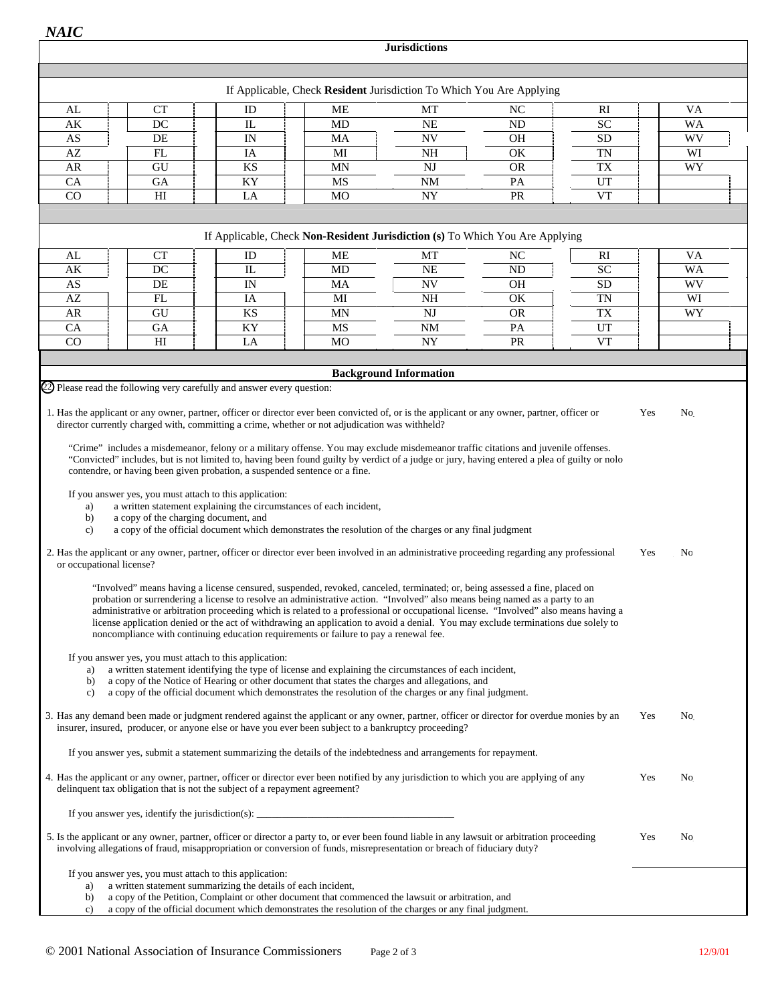**Jurisdictions**

|                                                        |                                      |                                                                                                                                                                                                                                                                                                                                                                                                                                                                                                                                                                                                                                                                                                                                                                                                                                                                                                                                                                                                                                                                                       | If Applicable, Check Resident Jurisdiction To Which You Are Applying |                               |                |           |     |    |
|--------------------------------------------------------|--------------------------------------|---------------------------------------------------------------------------------------------------------------------------------------------------------------------------------------------------------------------------------------------------------------------------------------------------------------------------------------------------------------------------------------------------------------------------------------------------------------------------------------------------------------------------------------------------------------------------------------------------------------------------------------------------------------------------------------------------------------------------------------------------------------------------------------------------------------------------------------------------------------------------------------------------------------------------------------------------------------------------------------------------------------------------------------------------------------------------------------|----------------------------------------------------------------------|-------------------------------|----------------|-----------|-----|----|
|                                                        |                                      |                                                                                                                                                                                                                                                                                                                                                                                                                                                                                                                                                                                                                                                                                                                                                                                                                                                                                                                                                                                                                                                                                       |                                                                      |                               |                |           |     |    |
| AL                                                     | <b>CT</b>                            | ID                                                                                                                                                                                                                                                                                                                                                                                                                                                                                                                                                                                                                                                                                                                                                                                                                                                                                                                                                                                                                                                                                    | <b>ME</b>                                                            | MT                            | NC             | R1        |     | VA |
| AK                                                     | DC                                   | IL                                                                                                                                                                                                                                                                                                                                                                                                                                                                                                                                                                                                                                                                                                                                                                                                                                                                                                                                                                                                                                                                                    | MD                                                                   | <b>NE</b>                     | <b>ND</b>      | <b>SC</b> |     | WA |
| AS                                                     | DE                                   | IN                                                                                                                                                                                                                                                                                                                                                                                                                                                                                                                                                                                                                                                                                                                                                                                                                                                                                                                                                                                                                                                                                    | MA                                                                   | <b>NV</b>                     | <b>OH</b>      | <b>SD</b> |     | WV |
| AZ                                                     | FL                                   | IA                                                                                                                                                                                                                                                                                                                                                                                                                                                                                                                                                                                                                                                                                                                                                                                                                                                                                                                                                                                                                                                                                    | MI                                                                   | <b>NH</b>                     | OK             | <b>TN</b> |     | WI |
| AR                                                     | GU                                   | KS                                                                                                                                                                                                                                                                                                                                                                                                                                                                                                                                                                                                                                                                                                                                                                                                                                                                                                                                                                                                                                                                                    | <b>MN</b>                                                            | <b>NJ</b>                     | <b>OR</b>      | <b>TX</b> |     | WY |
| CA                                                     | <b>GA</b>                            | KY                                                                                                                                                                                                                                                                                                                                                                                                                                                                                                                                                                                                                                                                                                                                                                                                                                                                                                                                                                                                                                                                                    | MS                                                                   | <b>NM</b>                     | PA             | UT        |     |    |
| $\overline{CO}$                                        | H                                    | LA                                                                                                                                                                                                                                                                                                                                                                                                                                                                                                                                                                                                                                                                                                                                                                                                                                                                                                                                                                                                                                                                                    | MO                                                                   | ${\rm NY}$                    | PR             | <b>VT</b> |     |    |
|                                                        |                                      |                                                                                                                                                                                                                                                                                                                                                                                                                                                                                                                                                                                                                                                                                                                                                                                                                                                                                                                                                                                                                                                                                       |                                                                      |                               |                |           |     |    |
|                                                        |                                      | If Applicable, Check Non-Resident Jurisdiction (s) To Which You Are Applying                                                                                                                                                                                                                                                                                                                                                                                                                                                                                                                                                                                                                                                                                                                                                                                                                                                                                                                                                                                                          |                                                                      |                               |                |           |     |    |
|                                                        |                                      |                                                                                                                                                                                                                                                                                                                                                                                                                                                                                                                                                                                                                                                                                                                                                                                                                                                                                                                                                                                                                                                                                       |                                                                      |                               |                |           |     |    |
| AL                                                     | <b>CT</b>                            | ID                                                                                                                                                                                                                                                                                                                                                                                                                                                                                                                                                                                                                                                                                                                                                                                                                                                                                                                                                                                                                                                                                    | МE                                                                   | МT                            | N <sub>C</sub> | <b>RI</b> |     | VA |
| AK                                                     | DC                                   | $_{\rm IL}$                                                                                                                                                                                                                                                                                                                                                                                                                                                                                                                                                                                                                                                                                                                                                                                                                                                                                                                                                                                                                                                                           | MD                                                                   | NE                            | <b>ND</b>      | <b>SC</b> |     | WA |
| AS                                                     | DE                                   | IN                                                                                                                                                                                                                                                                                                                                                                                                                                                                                                                                                                                                                                                                                                                                                                                                                                                                                                                                                                                                                                                                                    | MA                                                                   | <b>NV</b>                     | <b>OH</b>      | <b>SD</b> |     | WV |
| AZ                                                     | FL                                   | IA                                                                                                                                                                                                                                                                                                                                                                                                                                                                                                                                                                                                                                                                                                                                                                                                                                                                                                                                                                                                                                                                                    | MI                                                                   | NH                            | OK             | <b>TN</b> |     | WI |
| AR                                                     | GU                                   | KS                                                                                                                                                                                                                                                                                                                                                                                                                                                                                                                                                                                                                                                                                                                                                                                                                                                                                                                                                                                                                                                                                    | <b>MN</b>                                                            | <b>NJ</b>                     | <b>OR</b>      | <b>TX</b> |     | WY |
| CA                                                     | <b>GA</b>                            | KY                                                                                                                                                                                                                                                                                                                                                                                                                                                                                                                                                                                                                                                                                                                                                                                                                                                                                                                                                                                                                                                                                    | MS                                                                   | $\rm{NM}$                     | PA             | UT        |     |    |
| CO                                                     | H <sub>I</sub>                       | LA                                                                                                                                                                                                                                                                                                                                                                                                                                                                                                                                                                                                                                                                                                                                                                                                                                                                                                                                                                                                                                                                                    | M <sub>O</sub>                                                       | NY                            | PR             | <b>VT</b> |     |    |
|                                                        |                                      |                                                                                                                                                                                                                                                                                                                                                                                                                                                                                                                                                                                                                                                                                                                                                                                                                                                                                                                                                                                                                                                                                       |                                                                      |                               |                |           |     |    |
|                                                        |                                      |                                                                                                                                                                                                                                                                                                                                                                                                                                                                                                                                                                                                                                                                                                                                                                                                                                                                                                                                                                                                                                                                                       |                                                                      | <b>Background Information</b> |                |           |     |    |
| a)<br>b)<br>$\mathbf{c}$ )<br>or occupational license? | a copy of the charging document, and | If you answer yes, you must attach to this application:<br>a written statement explaining the circumstances of each incident,<br>a copy of the official document which demonstrates the resolution of the charges or any final judgment<br>2. Has the applicant or any owner, partner, officer or director ever been involved in an administrative proceeding regarding any professional<br>"Involved" means having a license censured, suspended, revoked, canceled, terminated; or, being assessed a fine, placed on<br>probation or surrendering a license to resolve an administrative action. "Involved" also means being named as a party to an<br>administrative or arbitration proceeding which is related to a professional or occupational license. "Involved" also means having a<br>license application denied or the act of withdrawing an application to avoid a denial. You may exclude terminations due solely to<br>noncompliance with continuing education requirements or failure to pay a renewal fee.<br>If you answer yes, you must attach to this application: |                                                                      |                               |                |           | Yes | No |
| a)<br>b)<br>c)                                         |                                      | a written statement identifying the type of license and explaining the circumstances of each incident,<br>a copy of the Notice of Hearing or other document that states the charges and allegations, and<br>a copy of the official document which demonstrates the resolution of the charges or any final judgment.<br>3. Has any demand been made or judgment rendered against the applicant or any owner, partner, officer or director for overdue monies by an<br>insurer, insured, producer, or anyone else or have you ever been subject to a bankruptcy proceeding?<br>If you answer yes, submit a statement summarizing the details of the indebtedness and arrangements for repayment.                                                                                                                                                                                                                                                                                                                                                                                        |                                                                      |                               |                |           | Yes | No |
|                                                        |                                      | 4. Has the applicant or any owner, partner, officer or director ever been notified by any jurisdiction to which you are applying of any<br>delinquent tax obligation that is not the subject of a repayment agreement?                                                                                                                                                                                                                                                                                                                                                                                                                                                                                                                                                                                                                                                                                                                                                                                                                                                                |                                                                      |                               |                |           | Yes | No |
|                                                        |                                      |                                                                                                                                                                                                                                                                                                                                                                                                                                                                                                                                                                                                                                                                                                                                                                                                                                                                                                                                                                                                                                                                                       |                                                                      |                               |                |           |     |    |
|                                                        |                                      | 5. Is the applicant or any owner, partner, officer or director a party to, or ever been found liable in any lawsuit or arbitration proceeding<br>involving allegations of fraud, misappropriation or conversion of funds, misrepresentation or breach of fiduciary duty?                                                                                                                                                                                                                                                                                                                                                                                                                                                                                                                                                                                                                                                                                                                                                                                                              |                                                                      |                               |                |           | Yes | No |
| a)<br>b)<br>c)                                         |                                      | If you answer yes, you must attach to this application:<br>a written statement summarizing the details of each incident,<br>a copy of the Petition, Complaint or other document that commenced the lawsuit or arbitration, and<br>a copy of the official document which demonstrates the resolution of the charges or any final judgment.                                                                                                                                                                                                                                                                                                                                                                                                                                                                                                                                                                                                                                                                                                                                             |                                                                      |                               |                |           |     |    |

a k